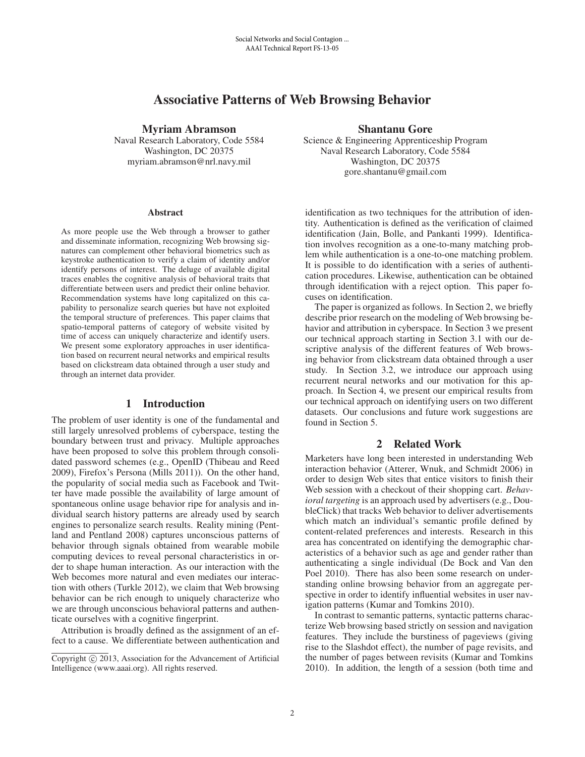# Associative Patterns of Web Browsing Behavior

Myriam Abramson

Naval Research Laboratory, Code 5584 Washington, DC 20375 myriam.abramson@nrl.navy.mil

#### Abstract

As more people use the Web through a browser to gather and disseminate information, recognizing Web browsing signatures can complement other behavioral biometrics such as keystroke authentication to verify a claim of identity and/or identify persons of interest. The deluge of available digital traces enables the cognitive analysis of behavioral traits that differentiate between users and predict their online behavior. Recommendation systems have long capitalized on this capability to personalize search queries but have not exploited the temporal structure of preferences. This paper claims that spatio-temporal patterns of category of website visited by time of access can uniquely characterize and identify users. We present some exploratory approaches in user identification based on recurrent neural networks and empirical results based on clickstream data obtained through a user study and through an internet data provider.

#### 1 Introduction

The problem of user identity is one of the fundamental and still largely unresolved problems of cyberspace, testing the boundary between trust and privacy. Multiple approaches have been proposed to solve this problem through consolidated password schemes (e.g., OpenID (Thibeau and Reed 2009), Firefox's Persona (Mills 2011)). On the other hand, the popularity of social media such as Facebook and Twitter have made possible the availability of large amount of spontaneous online usage behavior ripe for analysis and individual search history patterns are already used by search engines to personalize search results. Reality mining (Pentland and Pentland 2008) captures unconscious patterns of behavior through signals obtained from wearable mobile computing devices to reveal personal characteristics in order to shape human interaction. As our interaction with the Web becomes more natural and even mediates our interaction with others (Turkle 2012), we claim that Web browsing behavior can be rich enough to uniquely characterize who we are through unconscious behavioral patterns and authenticate ourselves with a cognitive fingerprint.

Attribution is broadly defined as the assignment of an effect to a cause. We differentiate between authentication and

## Shantanu Gore

Science & Engineering Apprenticeship Program Naval Research Laboratory, Code 5584 Washington, DC 20375 gore.shantanu@gmail.com

identification as two techniques for the attribution of identity. Authentication is defined as the verification of claimed identification (Jain, Bolle, and Pankanti 1999). Identification involves recognition as a one-to-many matching problem while authentication is a one-to-one matching problem. It is possible to do identification with a series of authentication procedures. Likewise, authentication can be obtained through identification with a reject option. This paper focuses on identification.

The paper is organized as follows. In Section 2, we briefly describe prior research on the modeling of Web browsing behavior and attribution in cyberspace. In Section 3 we present our technical approach starting in Section 3.1 with our descriptive analysis of the different features of Web browsing behavior from clickstream data obtained through a user study. In Section 3.2, we introduce our approach using recurrent neural networks and our motivation for this approach. In Section 4, we present our empirical results from our technical approach on identifying users on two different datasets. Our conclusions and future work suggestions are found in Section 5.

# 2 Related Work

Marketers have long been interested in understanding Web interaction behavior (Atterer, Wnuk, and Schmidt 2006) in order to design Web sites that entice visitors to finish their Web session with a checkout of their shopping cart. *Behavioral targeting* is an approach used by advertisers (e.g., DoubleClick) that tracks Web behavior to deliver advertisements which match an individual's semantic profile defined by content-related preferences and interests. Research in this area has concentrated on identifying the demographic characteristics of a behavior such as age and gender rather than authenticating a single individual (De Bock and Van den Poel 2010). There has also been some research on understanding online browsing behavior from an aggregate perspective in order to identify influential websites in user navigation patterns (Kumar and Tomkins 2010).

In contrast to semantic patterns, syntactic patterns characterize Web browsing based strictly on session and navigation features. They include the burstiness of pageviews (giving rise to the Slashdot effect), the number of page revisits, and the number of pages between revisits (Kumar and Tomkins 2010). In addition, the length of a session (both time and

Copyright (c) 2013, Association for the Advancement of Artificial Intelligence (www.aaai.org). All rights reserved.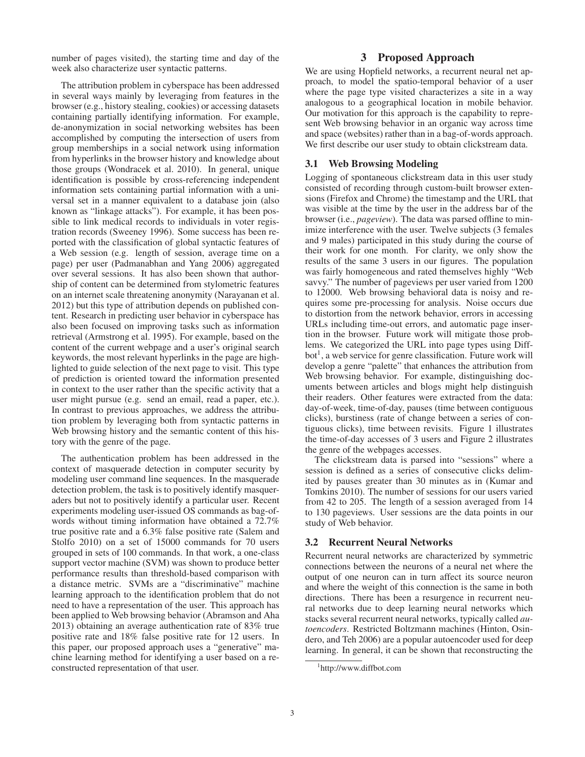number of pages visited), the starting time and day of the week also characterize user syntactic patterns.

The attribution problem in cyberspace has been addressed in several ways mainly by leveraging from features in the browser (e.g., history stealing, cookies) or accessing datasets containing partially identifying information. For example, de-anonymization in social networking websites has been accomplished by computing the intersection of users from group memberships in a social network using information from hyperlinks in the browser history and knowledge about those groups (Wondracek et al. 2010). In general, unique identification is possible by cross-referencing independent information sets containing partial information with a universal set in a manner equivalent to a database join (also known as "linkage attacks"). For example, it has been possible to link medical records to individuals in voter registration records (Sweeney 1996). Some success has been reported with the classification of global syntactic features of a Web session (e.g. length of session, average time on a page) per user (Padmanabhan and Yang 2006) aggregated over several sessions. It has also been shown that authorship of content can be determined from stylometric features on an internet scale threatening anonymity (Narayanan et al. 2012) but this type of attribution depends on published content. Research in predicting user behavior in cyberspace has also been focused on improving tasks such as information retrieval (Armstrong et al. 1995). For example, based on the content of the current webpage and a user's original search keywords, the most relevant hyperlinks in the page are highlighted to guide selection of the next page to visit. This type of prediction is oriented toward the information presented in context to the user rather than the specific activity that a user might pursue (e.g. send an email, read a paper, etc.). In contrast to previous approaches, we address the attribution problem by leveraging both from syntactic patterns in Web browsing history and the semantic content of this history with the genre of the page.

The authentication problem has been addressed in the context of masquerade detection in computer security by modeling user command line sequences. In the masquerade detection problem, the task is to positively identify masqueraders but not to positively identify a particular user. Recent experiments modeling user-issued OS commands as bag-ofwords without timing information have obtained a  $72.7\%$ true positive rate and a 6.3% false positive rate (Salem and Stolfo 2010) on a set of 15000 commands for 70 users grouped in sets of 100 commands. In that work, a one-class support vector machine (SVM) was shown to produce better performance results than threshold-based comparison with a distance metric. SVMs are a "discriminative" machine learning approach to the identification problem that do not need to have a representation of the user. This approach has been applied to Web browsing behavior (Abramson and Aha 2013) obtaining an average authentication rate of 83% true positive rate and 18% false positive rate for 12 users. In this paper, our proposed approach uses a "generative" machine learning method for identifying a user based on a reconstructed representation of that user.

# 3 Proposed Approach

We are using Hopfield networks, a recurrent neural net approach, to model the spatio-temporal behavior of a user where the page type visited characterizes a site in a way analogous to a geographical location in mobile behavior. Our motivation for this approach is the capability to represent Web browsing behavior in an organic way across time and space (websites) rather than in a bag-of-words approach. We first describe our user study to obtain clickstream data.

### 3.1 Web Browsing Modeling

Logging of spontaneous clickstream data in this user study consisted of recording through custom-built browser extensions (Firefox and Chrome) the timestamp and the URL that was visible at the time by the user in the address bar of the browser (i.e., *pageview*). The data was parsed offline to minimize interference with the user. Twelve subjects (3 females and 9 males) participated in this study during the course of their work for one month. For clarity, we only show the results of the same 3 users in our figures. The population was fairly homogeneous and rated themselves highly "Web savvy." The number of pageviews per user varied from 1200 to 12000. Web browsing behavioral data is noisy and requires some pre-processing for analysis. Noise occurs due to distortion from the network behavior, errors in accessing URLs including time-out errors, and automatic page insertion in the browser. Future work will mitigate those problems. We categorized the URL into page types using Diffbot<sup>1</sup>, a web service for genre classification. Future work will develop a genre "palette" that enhances the attribution from Web browsing behavior. For example, distinguishing documents between articles and blogs might help distinguish their readers. Other features were extracted from the data: day-of-week, time-of-day, pauses (time between contiguous clicks), burstiness (rate of change between a series of contiguous clicks), time between revisits. Figure 1 illustrates the time-of-day accesses of 3 users and Figure 2 illustrates the genre of the webpages accesses.

The clickstream data is parsed into "sessions" where a session is defined as a series of consecutive clicks delimited by pauses greater than 30 minutes as in (Kumar and Tomkins 2010). The number of sessions for our users varied from 42 to 205. The length of a session averaged from 14 to 130 pageviews. User sessions are the data points in our study of Web behavior.

### 3.2 Recurrent Neural Networks

Recurrent neural networks are characterized by symmetric connections between the neurons of a neural net where the output of one neuron can in turn affect its source neuron and where the weight of this connection is the same in both directions. There has been a resurgence in recurrent neural networks due to deep learning neural networks which stacks several recurrent neural networks, typically called *autoencoders*. Restricted Boltzmann machines (Hinton, Osindero, and Teh 2006) are a popular autoencoder used for deep learning. In general, it can be shown that reconstructing the

<sup>1</sup> http://www.diffbot.com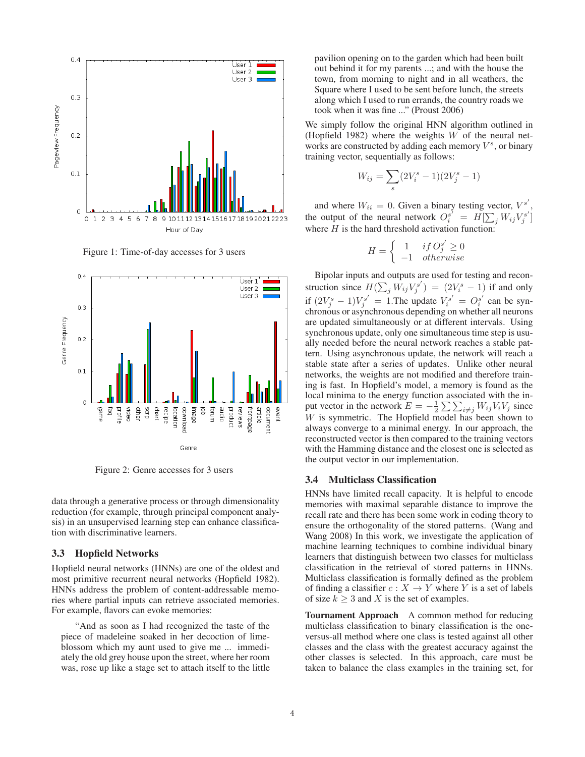

Figure 1: Time-of-day accesses for 3 users



Figure 2: Genre accesses for 3 users

data through a generative process or through dimensionality reduction (for example, through principal component analysis) in an unsupervised learning step can enhance classification with discriminative learners.

### 3.3 Hopfield Networks

Hopfield neural networks (HNNs) are one of the oldest and most primitive recurrent neural networks (Hopfield 1982). HNNs address the problem of content-addressable memories where partial inputs can retrieve associated memories. For example, flavors can evoke memories:

"And as soon as I had recognized the taste of the piece of madeleine soaked in her decoction of limeblossom which my aunt used to give me ... immediately the old grey house upon the street, where her room was, rose up like a stage set to attach itself to the little pavilion opening on to the garden which had been built out behind it for my parents ...; and with the house the town, from morning to night and in all weathers, the Square where I used to be sent before lunch, the streets along which I used to run errands, the country roads we took when it was fine ..." (Proust 2006)

We simply follow the original HNN algorithm outlined in (Hopfield 1982) where the weights  $W$  of the neural networks are constructed by adding each memory  $V^s$ , or binary training vector, sequentially as follows:

$$
W_{ij} = \sum_{s} (2V_i^s - 1)(2V_j^s - 1)
$$

and where  $W_{ii} = 0$ . Given a binary testing vector,  $V^{s'}$ , the output of the neural network  $O_i^{s'} = H[\sum_j W_{ij} V_j^{s'}]$ where  $H$  is the hard threshold activation function:

$$
H = \begin{cases} 1 & if \, O_j^{s'} \ge 0 \\ -1 & otherwise \end{cases}
$$

Bipolar inputs and outputs are used for testing and reconstruction since  $H(\sum_j W_{ij}V_j^{s'}) = (2V_i^s - 1)$  if and only if  $(2V_j^s - 1)V_j^{s'} = 1$ . The update  $V_i^{s'} = O_i^{s'}$  can be synchronous or asynchronous depending on whether all neurons are updated simultaneously or at different intervals. Using synchronous update, only one simultaneous time step is usually needed before the neural network reaches a stable pattern. Using asynchronous update, the network will reach a stable state after a series of updates. Unlike other neural networks, the weights are not modified and therefore training is fast. In Hopfield's model, a memory is found as the local minima to the energy function associated with the input vector in the network  $E = -\frac{1}{2} \sum \sum_{i \neq j} W_{ij} V_i V_j$  since W is symmetric. The Hopfield model has been shown to always converge to a minimal energy. In our approach, the reconstructed vector is then compared to the training vectors with the Hamming distance and the closest one is selected as the output vector in our implementation.

#### 3.4 Multiclass Classification

HNNs have limited recall capacity. It is helpful to encode memories with maximal separable distance to improve the recall rate and there has been some work in coding theory to ensure the orthogonality of the stored patterns. (Wang and Wang 2008) In this work, we investigate the application of machine learning techniques to combine individual binary learners that distinguish between two classes for multiclass classification in the retrieval of stored patterns in HNNs. Multiclass classification is formally defined as the problem of finding a classifier  $c : X \to Y$  where Y is a set of labels of size  $k \geq 3$  and X is the set of examples.

Tournament Approach A common method for reducing multiclass classification to binary classification is the oneversus-all method where one class is tested against all other classes and the class with the greatest accuracy against the other classes is selected. In this approach, care must be taken to balance the class examples in the training set, for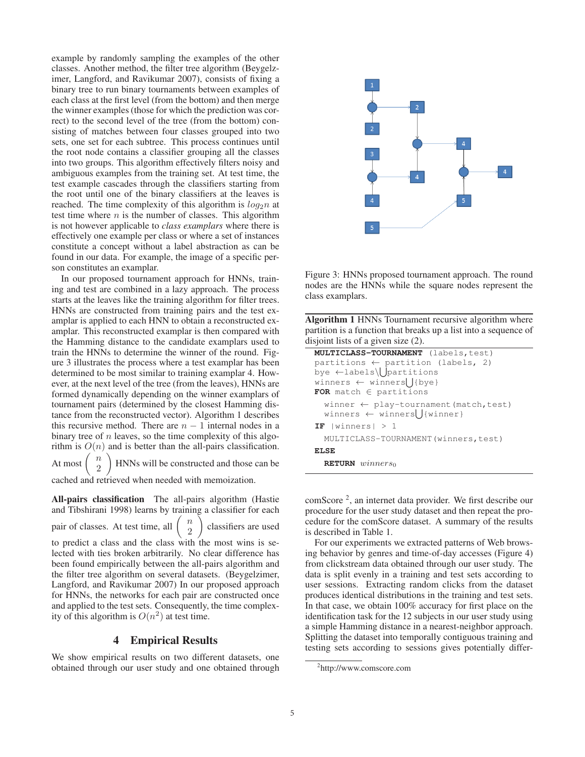example by randomly sampling the examples of the other classes. Another method, the filter tree algorithm (Beygelzimer, Langford, and Ravikumar 2007), consists of fixing a binary tree to run binary tournaments between examples of each class at the first level (from the bottom) and then merge the winner examples (those for which the prediction was correct) to the second level of the tree (from the bottom) consisting of matches between four classes grouped into two sets, one set for each subtree. This process continues until the root node contains a classifier grouping all the classes into two groups. This algorithm effectively filters noisy and ambiguous examples from the training set. At test time, the test example cascades through the classifiers starting from the root until one of the binary classifiers at the leaves is reached. The time complexity of this algorithm is  $log_2 n$  at test time where  $n$  is the number of classes. This algorithm is not however applicable to *class examplars* where there is effectively one example per class or where a set of instances constitute a concept without a label abstraction as can be found in our data. For example, the image of a specific person constitutes an examplar.

In our proposed tournament approach for HNNs, training and test are combined in a lazy approach. The process starts at the leaves like the training algorithm for filter trees. HNNs are constructed from training pairs and the test examplar is applied to each HNN to obtain a reconstructed examplar. This reconstructed examplar is then compared with the Hamming distance to the candidate examplars used to train the HNNs to determine the winner of the round. Figure 3 illustrates the process where a test examplar has been determined to be most similar to training examplar 4. However, at the next level of the tree (from the leaves), HNNs are formed dynamically depending on the winner examplars of tournament pairs (determined by the closest Hamming distance from the reconstructed vector). Algorithm 1 describes this recursive method. There are  $n - 1$  internal nodes in a binary tree of  $n$  leaves, so the time complexity of this algorithm is  $O(n)$  and is better than the all-pairs classification. At most n 2  $\setminus$ HNNs will be constructed and those can be

cached and retrieved when needed with memoization.

All-pairs classification The all-pairs algorithm (Hastie and Tibshirani 1998) learns by training a classifier for each pair of classes. At test time, all n 2  $\setminus$ classifiers are used to predict a class and the class with the most wins is selected with ties broken arbitrarily. No clear difference has been found empirically between the all-pairs algorithm and the filter tree algorithm on several datasets. (Beygelzimer, Langford, and Ravikumar 2007) In our proposed approach for HNNs, the networks for each pair are constructed once and applied to the test sets. Consequently, the time complexity of this algorithm is  $O(n^2)$  at test time.

# 4 Empirical Results

We show empirical results on two different datasets, one obtained through our user study and one obtained through



Figure 3: HNNs proposed tournament approach. The round nodes are the HNNs while the square nodes represent the class examplars.

Algorithm 1 HNNs Tournament recursive algorithm where partition is a function that breaks up a list into a sequence of disjoint lists of a given size (2).

| <b>MULTICLASS-TOURNAMENT</b> (labels, test)                                                                 |  |  |  |  |  |
|-------------------------------------------------------------------------------------------------------------|--|--|--|--|--|
| partitions $\leftarrow$ partition (labels, 2)                                                               |  |  |  |  |  |
| bye $\leftarrow$ labels\ partitions                                                                         |  |  |  |  |  |
| winners $\leftarrow$ winners $\bigcup \{bye\}$                                                              |  |  |  |  |  |
| FOR match $\in$ partitions                                                                                  |  |  |  |  |  |
| winner $\leftarrow$ play-tournament (match, test)<br>winners $\leftarrow$ winners $\left  \right $ {winner} |  |  |  |  |  |
| IF $ $ winners $  > 1$                                                                                      |  |  |  |  |  |
| MULTICLASS-TOURNAMENT (winners, test)                                                                       |  |  |  |  |  |
| ELSE                                                                                                        |  |  |  |  |  |
| <b>RETURN</b> $winners0$                                                                                    |  |  |  |  |  |

comScore <sup>2</sup> , an internet data provider. We first describe our procedure for the user study dataset and then repeat the procedure for the comScore dataset. A summary of the results is described in Table 1.

For our experiments we extracted patterns of Web browsing behavior by genres and time-of-day accesses (Figure 4) from clickstream data obtained through our user study. The data is split evenly in a training and test sets according to user sessions. Extracting random clicks from the dataset produces identical distributions in the training and test sets. In that case, we obtain 100% accuracy for first place on the identification task for the 12 subjects in our user study using a simple Hamming distance in a nearest-neighbor approach. Splitting the dataset into temporally contiguous training and testing sets according to sessions gives potentially differ-

<sup>2</sup> http://www.comscore.com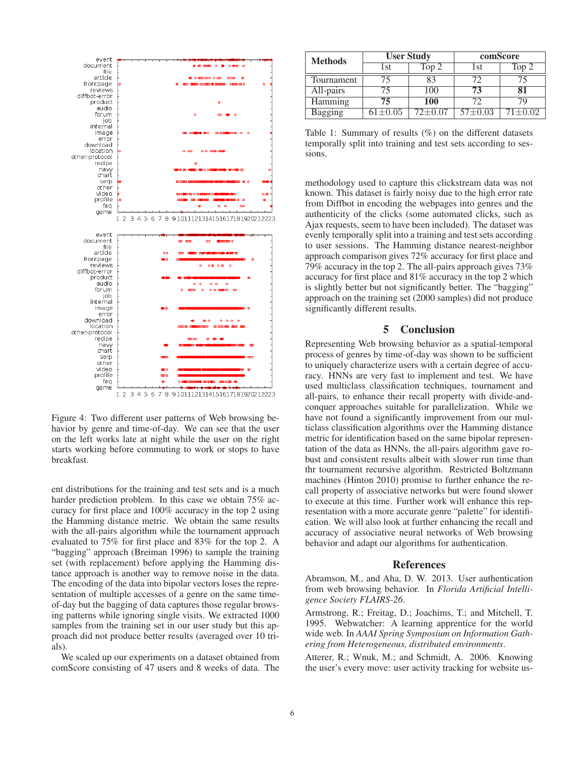

Figure 4: Two different user patterns of Web browsing behavior by genre and time-of-day. We can see that the user on the left works late at night while the user on the right starts working before commuting to work or stops to have breakfast.

ent distributions for the training and test sets and is a much harder prediction problem. In this case we obtain 75% accuracy for first place and 100% accuracy in the top 2 using the Hamming distance metric. We obtain the same results with the all-pairs algorithm while the tournament approach evaluated to 75% for first place and 83% for the top 2. A "bagging" approach (Breiman 1996) to sample the training set (with replacement) before applying the Hamming distance approach is another way to remove noise in the data. The encoding of the data into bipolar vectors loses the representation of multiple accesses of a genre on the same timeof-day but the bagging of data captures those regular browsing patterns while ignoring single visits. We extracted 1000 samples from the training set in our user study but this approach did not produce better results (averaged over 10 trials).

We scaled up our experiments on a dataset obtained from comScore consisting of 47 users and 8 weeks of data. The

| <b>Methods</b> | <b>User Study</b> |                  | comScore      |       |
|----------------|-------------------|------------------|---------------|-------|
|                | 1st               | Top <sub>2</sub> | l st          | Top 2 |
| Tournament     |                   |                  |               |       |
| All-pairs      |                   | 100              | 73            |       |
| Hamming        | 75                | <b>100</b>       | 72            | 79    |
| Bagging        | $61 + 0.05$       | 72+0.07          | $57 \pm 0.03$ |       |

Table 1: Summary of results (%) on the different datasets temporally split into training and test sets according to sessions.

methodology used to capture this clickstream data was not known. This dataset is fairly noisy due to the high error rate from Diffbot in encoding the webpages into genres and the authenticity of the clicks (some automated clicks, such as Ajax requests, seem to have been included). The dataset was evenly temporally split into a training and test sets according to user sessions. The Hamming distance nearest-neighbor approach comparison gives 72% accuracy for first place and 79% accuracy in the top 2. The all-pairs approach gives 73% accuracy for first place and 81% accuracy in the top 2 which is slightly better but not significantly better. The "bagging" approach on the training set (2000 samples) did not produce significantly different results.

## 5 Conclusion

Representing Web browsing behavior as a spatial-temporal process of genres by time-of-day was shown to be sufficient to uniquely characterize users with a certain degree of accuracy. HNNs are very fast to implement and test. We have used multiclass classification techniques, tournament and all-pairs, to enhance their recall property with divide-andconquer approaches suitable for parallelization. While we have not found a significantly improvement from our multiclass classification algorithms over the Hamming distance metric for identification based on the same bipolar representation of the data as HNNs, the all-pairs algorithm gave robust and consistent results albeit with slower run time than thr tournament recursive algorithm. Restricted Boltzmann machines (Hinton 2010) promise to further enhance the recall property of associative networks but were found slower to execute at this time. Further work will enhance this representation with a more accurate genre "palette" for identification. We will also look at further enhancing the recall and accuracy of associative neural networks of Web browsing behavior and adapt our algorithms for authentication.

#### References

Abramson, M., and Aha, D. W. 2013. User authentication from web browsing behavior. In *Florida Artificial Intelligence Society FLAIRS-26*.

Armstrong, R.; Freitag, D.; Joachims, T.; and Mitchell, T. 1995. Webwatcher: A learning apprentice for the world wide web. In *AAAI Spring Symposium on Information Gathering from Heterogeneous, distributed environments*.

Atterer, R.; Wnuk, M.; and Schmidt, A. 2006. Knowing the user's every move: user activity tracking for website us